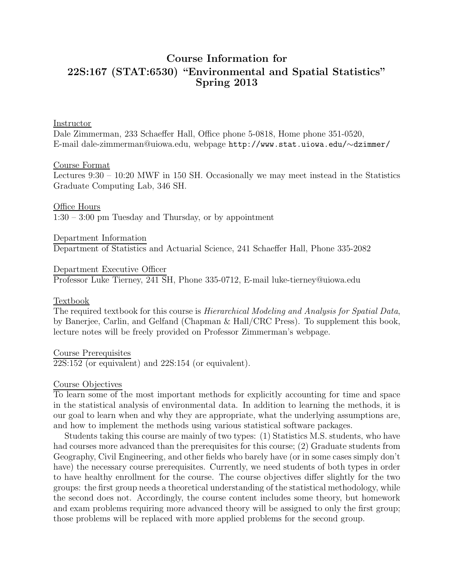# Course Information for 22S:167 (STAT:6530) "Environmental and Spatial Statistics" Spring 2013

#### Instructor

Dale Zimmerman, 233 Schaeffer Hall, Office phone 5-0818, Home phone 351-0520, E-mail dale-zimmerman@uiowa.edu, webpage http://www.stat.uiowa.edu/∼dzimmer/

#### Course Format

Lectures 9:30 – 10:20 MWF in 150 SH. Occasionally we may meet instead in the Statistics Graduate Computing Lab, 346 SH.

Office Hours 1:30 – 3:00 pm Tuesday and Thursday, or by appointment

Department Information Department of Statistics and Actuarial Science, 241 Schaeffer Hall, Phone 335-2082

Department Executive Officer Professor Luke Tierney, 241 SH, Phone 335-0712, E-mail luke-tierney@uiowa.edu

#### **Textbook**

The required textbook for this course is *Hierarchical Modeling and Analysis for Spatial Data*, by Banerjee, Carlin, and Gelfand (Chapman & Hall/CRC Press). To supplement this book, lecture notes will be freely provided on Professor Zimmerman's webpage.

Course Prerequisites 22S:152 (or equivalent) and 22S:154 (or equivalent).

#### Course Objectives

To learn some of the most important methods for explicitly accounting for time and space in the statistical analysis of environmental data. In addition to learning the methods, it is our goal to learn when and why they are appropriate, what the underlying assumptions are, and how to implement the methods using various statistical software packages.

Students taking this course are mainly of two types: (1) Statistics M.S. students, who have had courses more advanced than the prerequisites for this course; (2) Graduate students from Geography, Civil Engineering, and other fields who barely have (or in some cases simply don't have) the necessary course prerequisites. Currently, we need students of both types in order to have healthy enrollment for the course. The course objectives differ slightly for the two groups: the first group needs a theoretical understanding of the statistical methodology, while the second does not. Accordingly, the course content includes some theory, but homework and exam problems requiring more advanced theory will be assigned to only the first group; those problems will be replaced with more applied problems for the second group.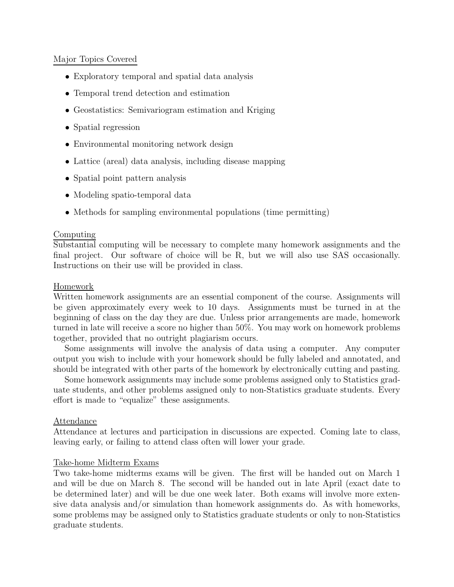## Major Topics Covered

- Exploratory temporal and spatial data analysis
- Temporal trend detection and estimation
- Geostatistics: Semivariogram estimation and Kriging
- Spatial regression
- Environmental monitoring network design
- Lattice (areal) data analysis, including disease mapping
- Spatial point pattern analysis
- Modeling spatio-temporal data
- Methods for sampling environmental populations (time permitting)

### Computing

Substantial computing will be necessary to complete many homework assignments and the final project. Our software of choice will be R, but we will also use SAS occasionally. Instructions on their use will be provided in class.

### Homework

Written homework assignments are an essential component of the course. Assignments will be given approximately every week to 10 days. Assignments must be turned in at the beginning of class on the day they are due. Unless prior arrangements are made, homework turned in late will receive a score no higher than 50%. You may work on homework problems together, provided that no outright plagiarism occurs.

Some assignments will involve the analysis of data using a computer. Any computer output you wish to include with your homework should be fully labeled and annotated, and should be integrated with other parts of the homework by electronically cutting and pasting.

Some homework assignments may include some problems assigned only to Statistics graduate students, and other problems assigned only to non-Statistics graduate students. Every effort is made to "equalize" these assignments.

#### Attendance

Attendance at lectures and participation in discussions are expected. Coming late to class, leaving early, or failing to attend class often will lower your grade.

## Take-home Midterm Exams

Two take-home midterms exams will be given. The first will be handed out on March 1 and will be due on March 8. The second will be handed out in late April (exact date to be determined later) and will be due one week later. Both exams will involve more extensive data analysis and/or simulation than homework assignments do. As with homeworks, some problems may be assigned only to Statistics graduate students or only to non-Statistics graduate students.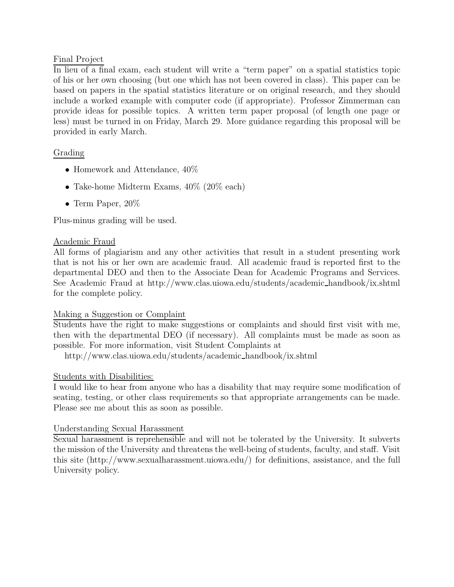# Final Project

In lieu of a final exam, each student will write a "term paper" on a spatial statistics topic of his or her own choosing (but one which has not been covered in class). This paper can be based on papers in the spatial statistics literature or on original research, and they should include a worked example with computer code (if appropriate). Professor Zimmerman can provide ideas for possible topics. A written term paper proposal (of length one page or less) must be turned in on Friday, March 29. More guidance regarding this proposal will be provided in early March.

# Grading

- Homework and Attendance,  $40\%$
- Take-home Midterm Exams,  $40\%$  (20% each)
- Term Paper, 20%

Plus-minus grading will be used.

## Academic Fraud

All forms of plagiarism and any other activities that result in a student presenting work that is not his or her own are academic fraud. All academic fraud is reported first to the departmental DEO and then to the Associate Dean for Academic Programs and Services. See Academic Fraud at http://www.clas.uiowa.edu/students/academic handbook/ix.shtml for the complete policy.

## Making a Suggestion or Complaint

Students have the right to make suggestions or complaints and should first visit with me, then with the departmental DEO (if necessary). All complaints must be made as soon as possible. For more information, visit Student Complaints at

http://www.clas.uiowa.edu/students/academic handbook/ix.shtml

# Students with Disabilities:

I would like to hear from anyone who has a disability that may require some modification of seating, testing, or other class requirements so that appropriate arrangements can be made. Please see me about this as soon as possible.

## Understanding Sexual Harassment

Sexual harassment is reprehensible and will not be tolerated by the University. It subverts the mission of the University and threatens the well-being of students, faculty, and staff. Visit this site (http://www.sexualharassment.uiowa.edu/) for definitions, assistance, and the full University policy.